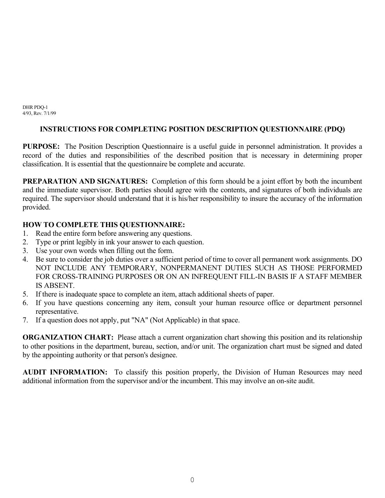DHR PDQ-1 4/93, Rev. 7/1/99

### **INSTRUCTIONS FOR COMPLETING POSITION DESCRIPTION QUESTIONNAIRE (PDQ)**

**PURPOSE:** The Position Description Questionnaire is a useful guide in personnel administration. It provides a record of the duties and responsibilities of the described position that is necessary in determining proper classification. It is essential that the questionnaire be complete and accurate.

**PREPARATION AND SIGNATURES:** Completion of this form should be a joint effort by both the incumbent and the immediate supervisor. Both parties should agree with the contents, and signatures of both individuals are required. The supervisor should understand that it is his/her responsibility to insure the accuracy of the information provided.

### **HOW TO COMPLETE THIS QUESTIONNAIRE:**

- 1. Read the entire form before answering any questions.
- 2. Type or print legibly in ink your answer to each question.
- 3. Use your own words when filling out the form.
- 4. Be sure to consider the job duties over a sufficient period of time to cover all permanent work assignments. DO NOT INCLUDE ANY TEMPORARY, NONPERMANENT DUTIES SUCH AS THOSE PERFORMED FOR CROSS-TRAINING PURPOSES OR ON AN INFREQUENT FILL-IN BASIS IF A STAFF MEMBER IS ABSENT.
- 5. If there is inadequate space to complete an item, attach additional sheets of paper.
- 6. If you have questions concerning any item, consult your human resource office or department personnel representative.
- 7. If a question does not apply, put "NA" (Not Applicable) in that space.

**ORGANIZATION CHART:** Please attach a current organization chart showing this position and its relationship to other positions in the department, bureau, section, and/or unit. The organization chart must be signed and dated by the appointing authority or that person's designee.

**AUDIT INFORMATION:** To classify this position properly, the Division of Human Resources may need additional information from the supervisor and/or the incumbent. This may involve an on-site audit.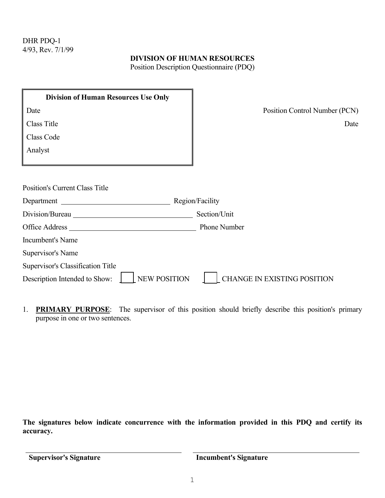#### **DIVISION OF HUMAN RESOURCES**

Position Description Questionnaire (PDQ)

| <b>Division of Human Resources Use Only</b>                                                                                                                                                                                    |                                    |
|--------------------------------------------------------------------------------------------------------------------------------------------------------------------------------------------------------------------------------|------------------------------------|
| Date                                                                                                                                                                                                                           | Position Control Number (PCN)      |
| Class Title                                                                                                                                                                                                                    | Date                               |
| Class Code                                                                                                                                                                                                                     |                                    |
| Analyst                                                                                                                                                                                                                        |                                    |
|                                                                                                                                                                                                                                |                                    |
| <b>Position's Current Class Title</b><br>Department                                                                                                                                                                            | Region/Facility                    |
| Division/Bureau entrancements and the set of the set of the set of the set of the set of the set of the set of the set of the set of the set of the set of the set of the set of the set of the set of the set of the set of t | Section/Unit                       |
|                                                                                                                                                                                                                                | <b>Phone Number</b>                |
| Incumbent's Name                                                                                                                                                                                                               |                                    |
| Supervisor's Name                                                                                                                                                                                                              |                                    |
| Supervisor's Classification Title                                                                                                                                                                                              |                                    |
| <b>NEW POSITION</b><br>Description Intended to Show:                                                                                                                                                                           | <b>CHANGE IN EXISTING POSITION</b> |

1. **PRIMARY PURPOSE**: The supervisor of this position should briefly describe this position's primary purpose in one or two sentences.

**The signatures below indicate concurrence with the information provided in this PDQ and certify its accuracy.**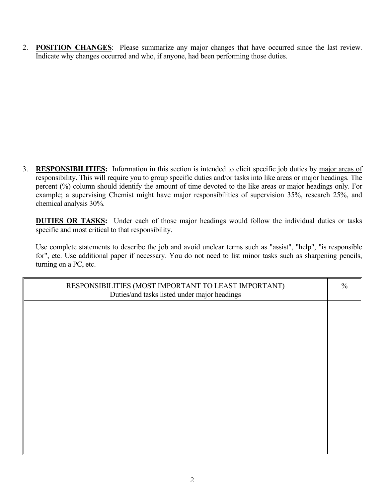2. **POSITION CHANGES**: Please summarize any major changes that have occurred since the last review. Indicate why changes occurred and who, if anyone, had been performing those duties.

3. **RESPONSIBILITIES:** Information in this section is intended to elicit specific job duties by major areas of responsibility. This will require you to group specific duties and/or tasks into like areas or major headings. The percent (%) column should identify the amount of time devoted to the like areas or major headings only. For example; a supervising Chemist might have major responsibilities of supervision 35%, research 25%, and chemical analysis 30%.

**DUTIES OR TASKS:** Under each of those major headings would follow the individual duties or tasks specific and most critical to that responsibility.

Use complete statements to describe the job and avoid unclear terms such as "assist", "help", "is responsible for", etc. Use additional paper if necessary. You do not need to list minor tasks such as sharpening pencils, turning on a PC, etc.

| RESPONSIBILITIES (MOST IMPORTANT TO LEAST IMPORTANT)<br>Duties/and tasks listed under major headings | $\frac{0}{0}$ |
|------------------------------------------------------------------------------------------------------|---------------|
|                                                                                                      |               |
|                                                                                                      |               |
|                                                                                                      |               |
|                                                                                                      |               |
|                                                                                                      |               |
|                                                                                                      |               |
|                                                                                                      |               |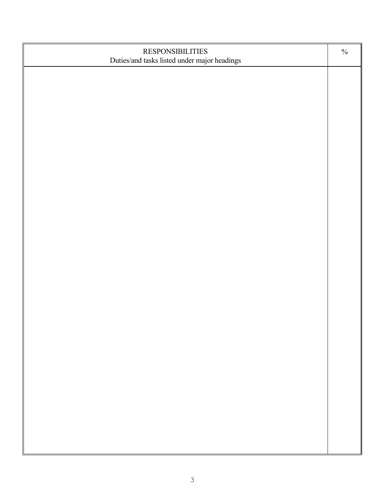| <b>RESPONSIBILITIES</b>                      | $\frac{0}{0}$ |
|----------------------------------------------|---------------|
| Duties/and tasks listed under major headings |               |
|                                              |               |
|                                              |               |
|                                              |               |
|                                              |               |
|                                              |               |
|                                              |               |
|                                              |               |
|                                              |               |
|                                              |               |
|                                              |               |
|                                              |               |
|                                              |               |
|                                              |               |
|                                              |               |
|                                              |               |
|                                              |               |
|                                              |               |
|                                              |               |
|                                              |               |
|                                              |               |
|                                              |               |
|                                              |               |
|                                              |               |
|                                              |               |
|                                              |               |
|                                              |               |
|                                              |               |
|                                              |               |
|                                              |               |
|                                              |               |
|                                              |               |
|                                              |               |
|                                              |               |
|                                              |               |
|                                              |               |
|                                              |               |
|                                              |               |
|                                              |               |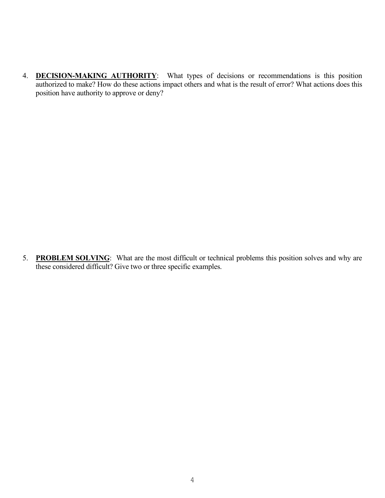4. **DECISION-MAKING AUTHORITY**: What types of decisions or recommendations is this position authorized to make? How do these actions impact others and what is the result of error? What actions does this position have authority to approve or deny?

5. **PROBLEM SOLVING**: What are the most difficult or technical problems this position solves and why are these considered difficult? Give two or three specific examples.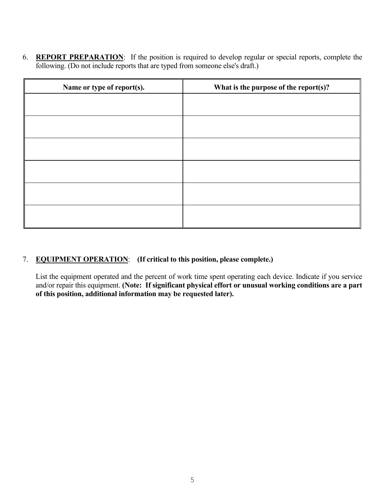6. **REPORT PREPARATION**: If the position is required to develop regular or special reports, complete the following. (Do not include reports that are typed from someone else's draft.)

| Name or type of report(s). | What is the purpose of the report(s)? |  |
|----------------------------|---------------------------------------|--|
|                            |                                       |  |
|                            |                                       |  |
|                            |                                       |  |
|                            |                                       |  |
|                            |                                       |  |
|                            |                                       |  |
|                            |                                       |  |
|                            |                                       |  |
|                            |                                       |  |
|                            |                                       |  |
|                            |                                       |  |
|                            |                                       |  |

## 7. **EQUIPMENT OPERATION**: **(If critical to this position, please complete.)**

List the equipment operated and the percent of work time spent operating each device. Indicate if you service and/or repair this equipment. **(Note: If significant physical effort or unusual working conditions are a part of this position, additional information may be requested later).**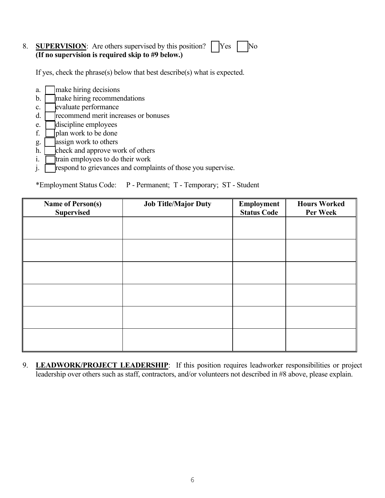#### 8. **SUPERVISION:** Are others supervised by this position?  $\begin{bmatrix} \n\end{bmatrix}$  Yes  $\begin{bmatrix} \n\end{bmatrix}$  No **(If no supervision is required skip to #9 below.)**

If yes, check the phrase(s) below that best describe(s) what is expected.

- a.  $\Box$  make hiring decisions
- $b.$   $\Box$  make hiring recommendations
- $c.$   $\Box$  evaluate performance
- d. **T** recommend merit increases or bonuses
- $e.$   $\Box$  discipline employees
- f.  $\Box$  plan work to be done
- g.  $\Box$  assign work to others
- h.  $\Box$  check and approve work of others
- $i.$   $\Box$  train employees to do their work
- $\overline{\mathbf{i}}$ . Trespond to grievances and complaints of those you supervise.

\*Employment Status Code: P - Permanent; T - Temporary; ST - Student

| <b>Name of Person(s)</b><br><b>Supervised</b> | <b>Job Title/Major Duty</b> | Employment<br><b>Status Code</b> | <b>Hours Worked</b><br>Per Week |
|-----------------------------------------------|-----------------------------|----------------------------------|---------------------------------|
|                                               |                             |                                  |                                 |
|                                               |                             |                                  |                                 |
|                                               |                             |                                  |                                 |
|                                               |                             |                                  |                                 |
|                                               |                             |                                  |                                 |
|                                               |                             |                                  |                                 |
|                                               |                             |                                  |                                 |
|                                               |                             |                                  |                                 |

9. **LEADWORK/PROJECT LEADERSHIP**: If this position requires leadworker responsibilities or project leadership over others such as staff, contractors, and/or volunteers not described in #8 above, please explain.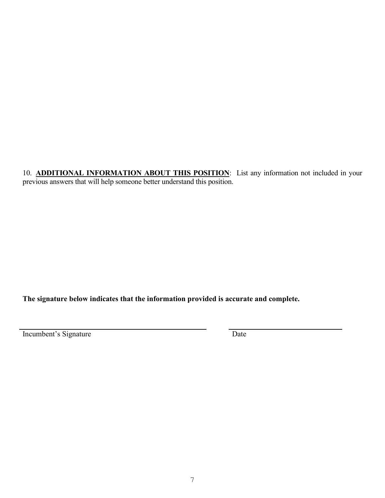10. **ADDITIONAL INFORMATION ABOUT THIS POSITION**: List any information not included in your previous answers that will help someone better understand this position.

# **The signature below indicates that the information provided is accurate and complete.**

Incumbent's Signature Date